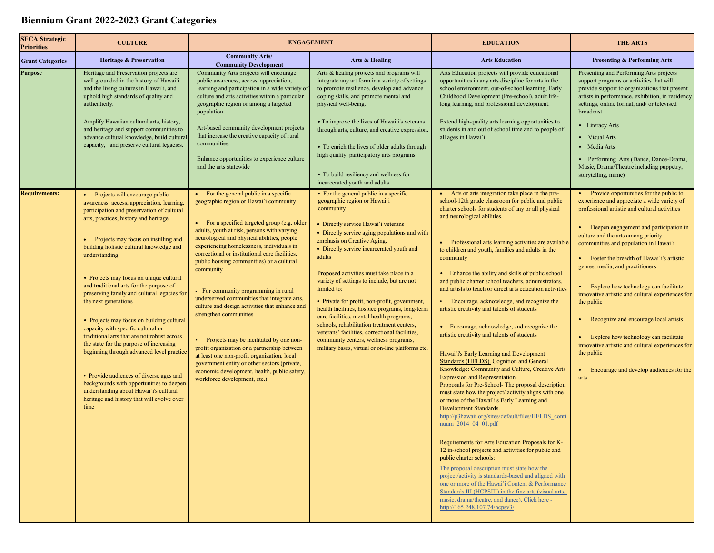## **Biennium Grant 2022-2023 Grant Categories**

| <b>SFCA Strategic</b><br><b>Priorities</b> | <b>CULTURE</b>                                                                                                                                                                                                                                                                                                                                                                                                                                                                                                                                                                                                                                                                                                                                                                                                                                             | <b>ENGAGEMENT</b>                                                                                                                                                                                                                                                                                                                                                                                                                                                                                                                                                                                                                                                                                                                                                                                                                       |                                                                                                                                                                                                                                                                                                                                                                                                                                                                                                                                                                                                                                                                                                                          | <b>EDUCATION</b>                                                                                                                                                                                                                                                                                                                                                                                                                                                                                                                                                                                                                                                                                                                                                                                                                                                                                                                                                                                                                                                                                                                                                                                                                                                                                                                                                                                                                                                                                                                                                                            | <b>THE ARTS</b>                                                                                                                                                                                                                                                                                                                                                                                                                                                                                                                                                                                                                                                                 |
|--------------------------------------------|------------------------------------------------------------------------------------------------------------------------------------------------------------------------------------------------------------------------------------------------------------------------------------------------------------------------------------------------------------------------------------------------------------------------------------------------------------------------------------------------------------------------------------------------------------------------------------------------------------------------------------------------------------------------------------------------------------------------------------------------------------------------------------------------------------------------------------------------------------|-----------------------------------------------------------------------------------------------------------------------------------------------------------------------------------------------------------------------------------------------------------------------------------------------------------------------------------------------------------------------------------------------------------------------------------------------------------------------------------------------------------------------------------------------------------------------------------------------------------------------------------------------------------------------------------------------------------------------------------------------------------------------------------------------------------------------------------------|--------------------------------------------------------------------------------------------------------------------------------------------------------------------------------------------------------------------------------------------------------------------------------------------------------------------------------------------------------------------------------------------------------------------------------------------------------------------------------------------------------------------------------------------------------------------------------------------------------------------------------------------------------------------------------------------------------------------------|---------------------------------------------------------------------------------------------------------------------------------------------------------------------------------------------------------------------------------------------------------------------------------------------------------------------------------------------------------------------------------------------------------------------------------------------------------------------------------------------------------------------------------------------------------------------------------------------------------------------------------------------------------------------------------------------------------------------------------------------------------------------------------------------------------------------------------------------------------------------------------------------------------------------------------------------------------------------------------------------------------------------------------------------------------------------------------------------------------------------------------------------------------------------------------------------------------------------------------------------------------------------------------------------------------------------------------------------------------------------------------------------------------------------------------------------------------------------------------------------------------------------------------------------------------------------------------------------|---------------------------------------------------------------------------------------------------------------------------------------------------------------------------------------------------------------------------------------------------------------------------------------------------------------------------------------------------------------------------------------------------------------------------------------------------------------------------------------------------------------------------------------------------------------------------------------------------------------------------------------------------------------------------------|
| <b>Grant Categories</b>                    | <b>Heritage &amp; Preservation</b>                                                                                                                                                                                                                                                                                                                                                                                                                                                                                                                                                                                                                                                                                                                                                                                                                         | <b>Community Arts/</b><br><b>Community Development</b>                                                                                                                                                                                                                                                                                                                                                                                                                                                                                                                                                                                                                                                                                                                                                                                  | Arts & Healing                                                                                                                                                                                                                                                                                                                                                                                                                                                                                                                                                                                                                                                                                                           | <b>Arts Education</b>                                                                                                                                                                                                                                                                                                                                                                                                                                                                                                                                                                                                                                                                                                                                                                                                                                                                                                                                                                                                                                                                                                                                                                                                                                                                                                                                                                                                                                                                                                                                                                       | <b>Presenting &amp; Performing Arts</b>                                                                                                                                                                                                                                                                                                                                                                                                                                                                                                                                                                                                                                         |
| <b>Purpose</b>                             | Heritage and Preservation projects are<br>well grounded in the history of Hawai'i<br>and the living cultures in Hawai'i, and<br>uphold high standards of quality and<br>authenticity.<br>Amplify Hawaiian cultural arts, history,<br>and heritage and support communities to<br>advance cultural knowledge, build cultural<br>capacity, and preserve cultural legacies.                                                                                                                                                                                                                                                                                                                                                                                                                                                                                    | Community Arts projects will encourage<br>public awareness, access, appreciation,<br>learning and participation in a wide variety of<br>culture and arts activities within a particular<br>geographic region or among a targeted<br>population.<br>Art-based community development projects<br>that increase the creative capacity of rural<br>communities.<br>Enhance opportunities to experience culture<br>and the arts statewide                                                                                                                                                                                                                                                                                                                                                                                                    | Arts & healing projects and programs will<br>integrate any art form in a variety of settings<br>to promote resilience, develop and advance<br>coping skills, and promote mental and<br>physical well-being.<br>• To improve the lives of Hawai'i's veterans<br>through arts, culture, and creative expression.<br>• To enrich the lives of older adults through<br>high quality participatory arts programs<br>• To build resiliency and wellness for<br>incarcerated youth and adults                                                                                                                                                                                                                                   | Arts Education projects will provide educational<br>opportunities in any arts discipline for arts in the<br>school environment, out-of-school learning, Early<br>Childhood Development (Pre-school), adult life-<br>long learning, and professional development.<br>Extend high-quality arts learning opportunities to<br>students in and out of school time and to people of<br>all ages in Hawai'i.                                                                                                                                                                                                                                                                                                                                                                                                                                                                                                                                                                                                                                                                                                                                                                                                                                                                                                                                                                                                                                                                                                                                                                                       | Presenting and Performing Arts projects<br>support programs or activities that will<br>provide support to organizations that present<br>artists in performance, exhibition, in residency<br>settings, online format, and/ or televised<br>broadcast.<br>• Literacy Arts<br>• Visual Arts<br>• Media Arts<br>• Performing Arts (Dance, Dance-Drama,<br>Music, Drama/Theatre including puppetry,<br>storytelling, mime)                                                                                                                                                                                                                                                           |
| <b>Requirements:</b>                       | • Projects will encourage public<br>awareness, access, appreciation, learning,<br>participation and preservation of cultural<br>arts, practices, history and heritage<br>• Projects may focus on instilling and<br>building holistic cultural knowledge and<br>understanding<br>• Projects may focus on unique cultural<br>and traditional arts for the purpose of<br>preserving family and cultural legacies for<br>the next generations<br>• Projects may focus on building cultural<br>capacity with specific cultural or<br>traditional arts that are not robust across<br>the state for the purpose of increasing<br>beginning through advanced level practice<br>• Provide audiences of diverse ages and<br>backgrounds with opportunities to deepen<br>understanding about Hawai'i's cultural<br>heritage and history that will evolve over<br>time | • For the general public in a specific<br>geographic region or Hawai'i community<br>• For a specified targeted group (e.g. older<br>adults, youth at risk, persons with varying<br>neurological and physical abilities, people<br>experiencing homelessness, individuals in<br>correctional or institutional care facilities,<br>public housing communities) or a cultural<br>community<br>• For community programming in rural<br>underserved communities that integrate arts,<br>culture and design activities that enhance and<br>strengthen communities<br>• Projects may be facilitated by one non-<br>profit organization or a partnership between<br>at least one non-profit organization, local<br>government entity or other sectors (private,<br>economic development, health, public safety,<br>workforce development, etc.) | • For the general public in a specific<br>geographic region or Hawai'i<br>community<br>• Directly service Hawai'i veterans<br>• Directly service aging populations and with<br>emphasis on Creative Aging.<br>• Directly service incarcerated youth and<br>adults<br>Proposed activities must take place in a<br>variety of settings to include, but are not<br>limited to:<br>• Private for profit, non-profit, government,<br>health facilities, hospice programs, long-term<br>care facilities, mental health programs,<br>schools, rehabilitation treatment centers,<br>veterans' facilities, correctional facilities,<br>community centers, wellness programs,<br>military bases, virtual or on-line platforms etc. | • Arts or arts integration take place in the pre-<br>school-12th grade classroom for public and public<br>charter schools for students of any or all physical<br>and neurological abilities.<br>• Professional arts learning activities are available<br>to children and youth, families and adults in the<br>community<br>• Enhance the ability and skills of public school<br>and public charter school teachers, administrators,<br>and artists to teach or direct arts education activities<br>• Encourage, acknowledge, and recognize the<br>artistic creativity and talents of students<br>• Encourage, acknowledge, and recognize the<br>artistic creativity and talents of students<br>Hawai'i's Early Learning and Development<br>Standards (HELDS). Cognition and General<br>Knowledge: Community and Culture, Creative Arts<br>Expression and Representation.<br>Proposals for Pre-School- The proposal description<br>must state how the project/ activity aligns with one<br>or more of the Hawai'i's Early Learning and<br>Development Standards.<br>http://p3hawaii.org/sites/default/files/HELDS conti<br>nuum 2014 04 01.pdf<br>Requirements for Arts Education Proposals for K-<br>12 in-school projects and activities for public and<br>public charter schools:<br>The proposal description must state how the<br>project/activity is standards-based and aligned with<br>one or more of the Hawai'i Content & Performance<br>Standards III (HCPSIII) in the fine arts (visual arts,<br>music, drama/theatre, and dance). Click here -<br>http://165.248.107.74/hcpsv3/ | • Provide opportunities for the public to<br>experience and appreciate a wide variety of<br>professional artistic and cultural activities<br>• Deepen engagement and participation in<br>culture and the arts among priority<br>communities and population in Hawai'i<br>• Foster the breadth of Hawai'i's artistic<br>genres, media, and practitioners<br>• Explore how technology can facilitate<br>innovative artistic and cultural experiences for<br>the public<br>• Recognize and encourage local artists<br>• Explore how technology can facilitate<br>innovative artistic and cultural experiences for<br>the public<br>Encourage and develop audiences for the<br>arts |